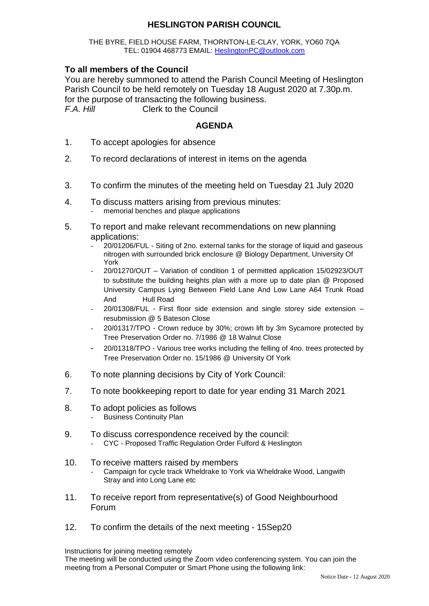# **HESLINGTON PARISH COUNCIL**

#### THE BYRE, FIELD HOUSE FARM, THORNTON-LE-CLAY, YORK, YO60 7QA TEL: 01904 468773 EMAIL: [HeslingtonPC@outlook.com](mailto:HeslingtonPC@outlook.com)

## **To all members of the Council**

You are hereby summoned to attend the Parish Council Meeting of Heslington Parish Council to be held remotely on Tuesday 18 August 2020 at 7.30p.m. for the purpose of transacting the following business. *F.A. Hill* Clerk to the Council

### **AGENDA**

- 1. To accept apologies for absence
- 2. To record declarations of interest in items on the agenda
- 3. To confirm the minutes of the meeting held on Tuesday 21 July 2020
- 4. To discuss matters arising from previous minutes: memorial benches and plaque applications
- 5. To report and make relevant recommendations on new planning applications:
	- 20/01206/FUL Siting of 2no. external tanks for the storage of liquid and gaseous nitrogen with surrounded brick enclosure @ Biology Department, University Of York
	- 20/01270/OUT Variation of condition 1 of permitted application 15/02923/OUT to substitute the building heights plan with a more up to date plan @ Proposed University Campus Lying Between Field Lane And Low Lane A64 Trunk Road And Hull Road
	- $20/01308/FUL$  First floor side extension and single storey side extension resubmission @ 5 Bateson Close
	- 20/01317/TPO Crown reduce by 30%; crown lift by 3m Sycamore protected by Tree Preservation Order no. 7/1986 @ 18 Walnut Close
	- 20/01318/TPO Various tree works including the felling of 4no. trees protected by Tree Preservation Order no. 15/1986 @ University Of York
- 6. To note planning decisions by City of York Council:
- 7. To note bookkeeping report to date for year ending 31 March 2021
- 8. To adopt policies as follows Business Continuity Plan
- 9. To discuss correspondence received by the council:
	- CYC Proposed Traffic Regulation Order Fulford & Heslington

#### 10. To receive matters raised by members Campaign for cycle track Wheldrake to York via Wheldrake Wood, Langwith Stray and into Long Lane etc

- 11. To receive report from representative(s) of Good Neighbourhood Forum
- 12. To confirm the details of the next meeting 15Sep20

Instructions for joining meeting remotely

The meeting will be conducted using the Zoom video conferencing system. You can join the meeting from a Personal Computer or Smart Phone using the following link: